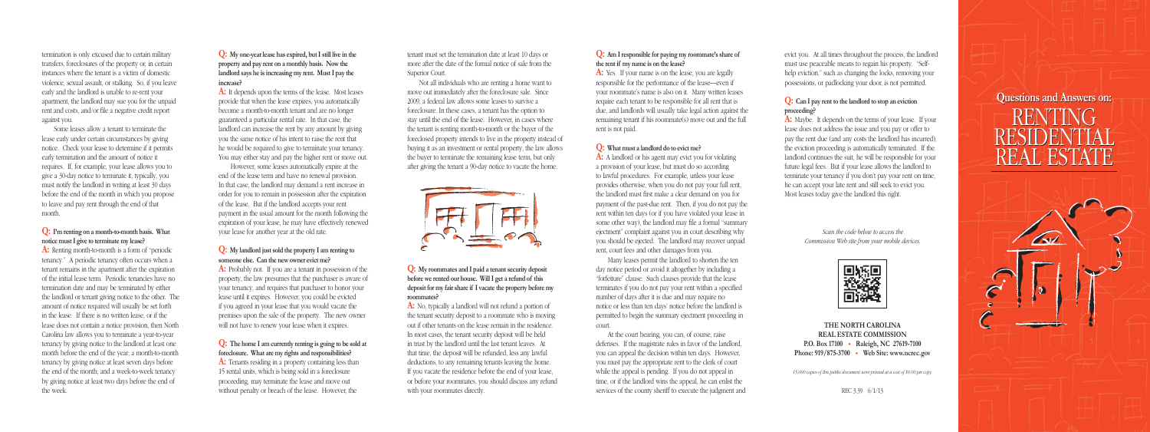# **Questions and Answers on: Questions and Answers on:** RENTING RESIDENTIAL REAL ESTATE RENTING RESIDENTIAL REAL ESTATE



tenant must set the termination date at least 10 days or more after the date of the formal notice of sale from the Superior Court.

Not all individuals who are renting a home want to move out immediately after the foreclosure sale. Since 2009, a federal law allows some leases to survive a foreclosure. In these cases, a tenant has the option to stay until the end of the lease. However, in cases where the tenant is renting month-to-month or the buyer of the foreclosed property intends to live in the property instead of buying it as an investment or rental property, the law allows the buyer to terminate the remaining lease term, but only after giving the tenant a 90-day notice to vacate the home.



**Q: My roommates and I paid a tenant security deposit before we rented our house. Will I get a refund of this deposit for my fair share if I vacate the property before my roommates?**

## **Q:** Can I pay rent to the landlord to stop an eviction **proceeding?**

**A:** No, typically a landlord will not refund a portion of the tenant security deposit to a roommate who is moving out if other tenants on the lease remain in the residence. In most cases, the tenant security deposit will be held in trust by the landlord until the last tenant leaves. At that time, the deposit will be refunded, less any lawful deductions, to any remaining tenants leaving the home. If you vacate the residence before the end of your lease, or before your roommates, you should discuss any refund with your roommates directly.

evict you. At all times throughout the process, the landlord must use peaceable means to regain his property. "Selfhelp eviction," such as changing the locks, removing your possessions, or padlocking your door, is not permitted.

**A:** Maybe. It depends on the terms of your lease. If your lease does not address the issue and you pay or offer to pay the rent due (and any costs the landlord has incurred), the eviction proceeding is automatically terminated. If the landlord continues the suit, he will be responsible for your future legal fees. But if your lease allows the landlord to terminate your tenancy if you don't pay your rent on time, he can accept your late rent and still seek to evict you. Most leases today give the landlord this right.

A: Renting month-to-month is a form of "periodic" tenancy." A periodic tenancy often occurs when a tenant remains in the apartment after the expiration of the initial lease term. Periodic tenancies have no termination date and may be terminated by either the landlord or tenant giving notice to the other. The amount of notice required will usually be set forth in the lease. If there is no written lease, or if the lease does not contain a notice provision, then North Carolina law allows you to terminate a year-to-year tenancy by giving notice to the landlord at least one month before the end of the year; a month-to-month tenancy by giving notice at least seven days before the end of the month; and a week-to-week tenancy by giving notice at least two days before the end of the week.

*Scan the code below to access the Commission Web site from your mobile devices.*



A: It depends upon the terms of the lease. Most leases provide that when the lease expires, you automatically become a month-to-month tenant and are no longer guaranteed a particular rental rate. In that case, the landlord can increase the rent by any amount by giving you the same notice of his intent to raise the rent that he would be required to give to terminate your tenancy. You may either stay and pay the higher rent or move out.

#### **THE NORTH CAROLINA REAL ESTATE COMMISSION P.O. Box 17100** • **Raleigh, NC 27619-7100 Phone: 919/875-3700** • **Web Site: www.ncrec.gov**

*15,000 copies of this public document were printed at a cost of \$0.00 per copy.* 

REC 3.39 6/1/13

termination is only excused due to certain military transfers, foreclosures of the property or, in certain instances where the tenant is a victim of domestic violence, sexual assault, or stalking. So, if you leave early and the landlord is unable to re-rent your apartment, the landlord may sue you for the unpaid rent and costs, and/or file a negative credit report against you.

> A: Tenants residing in a property containing less than 15 rental units, which is being sold in a foreclosure proceeding, may terminate the lease and move out without penalty or breach of the lease. However, the

Some leases allow a tenant to terminate the lease early under certain circumstances by giving notice. Check your lease to determine if it permits early termination and the amount of notice it requires. If, for example, your lease allows you to give a 30-day notice to terminate it, typically, you must notify the landlord in writing at least 30 days before the end of the month in which you propose to leave and pay rent through the end of that month.

A: Yes. If your name is on the lease, you are legally responsible for the performance of the lease—even if your roommate's name is also on it. Many written leases require each tenant to be responsible for all rent that is due, and landlords will usually take legal action against the remaining tenant if his roommate(s) move out and the full rent is not paid.

## **Q: I'm renting on a month-to-month basis. What notice must I give to terminate my lease?**

A: A landlord or his agent may evict you for violating a provision of your lease, but must do so according to lawful procedures. For example, unless your lease provides otherwise, when you do not pay your full rent, the landlord must first make a clear demand on you for payment of the past-due rent. Then, if you do not pay the rent within ten days (or if you have violated your lease in some other way), the landlord may file a formal "summary ejectment" complaint against you in court describing why you should be ejected. The landlord may recover unpaid rent, court fees and other damages from you.

**Q: My one-year lease has expired, but I still live in the property and pay rent on a monthly basis. Now the landlord says he is increasing my rent. Must I pay the increase?**

However, some leases automatically expire at the end of the lease term and have no renewal provision. In that case, the landlord may demand a rent increase in order for you to remain in possession after the expiration of the lease. But if the landlord accepts your rent payment in the usual amount for the month following the expiration of your lease, he may have effectively renewed your lease for another year at the old rate.

## **Q: My landlord just sold the property I am renting to someone else. Can the new owner evict me?**

**A:** Probably not. If you are a tenant in possession of the property, the law presumes that the purchaser is aware of your tenancy, and requires that purchaser to honor your lease until it expires. However, you could be evicted if you agreed in your lease that you would vacate the premises upon the sale of the property. The new owner will not have to renew your lease when it expires.

# **Q: The home I am currently renting is going to be sold at foreclosure. What are my rights and responsibilities?**

#### **Q: Am I responsible for paying my roommate's share of the rent if my name is on the lease?**

#### **Q: What must a landlord do to evict me?**

Many leases permit the landlord to shorten the ten day notice period or avoid it altogether by including a "forfeiture" clause. Such clauses provide that the lease terminates if you do not pay your rent within a specified number of days after it is due and may require no notice or less than ten days' notice before the landlord is permitted to begin the summary ejectment proceeding in court.

At the court hearing, you can, of course, raise defenses. If the magistrate rules in favor of the landlord, you can appeal the decision within ten days. However, you must pay the appropriate rent to the clerk of court while the appeal is pending. If you do not appeal in time, or if the landlord wins the appeal, he can enlist the services of the county sheriff to execute the judgment and